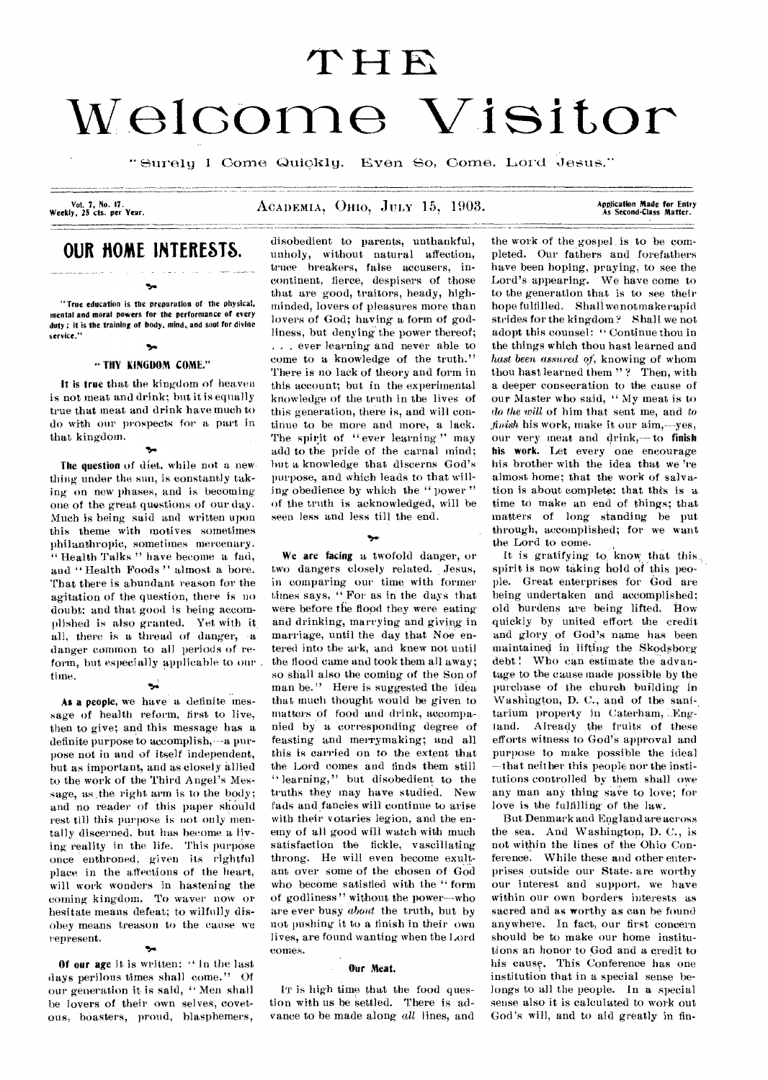# **<sup>W</sup>01GOMO Visitor**

" Surely I Come Quickly, Even So, Come, Lord Jesus."

Vol. 7, No. 17.<br>Weekly, 25 cts. per Year.

# **OUR ROME INTERESTS.**

۰.

.<br>1980 - Paris Maria Bandel, amerikansk fotograf (d. 1980)<br>1980 - Paris Maria Bandel, amerikansk fotograf (d. 1980)

"True education is the preparation of the physical, mental and moral powers for the performance of every duty; it is the training of body, mind, and soul for divine service."

#### ъ, lily KINGDOM COME."

It is true that the kingdom of heaven is not meat and drink; but it is equally true that meat and drink have much to do with our prospects for a part in that kingdom.

.0"

The question of diet, while not a new thing under the sun, is constantly taking on new phases, and is becoming one of the great questions of our day. Much is being said and written upon this theme with motives sometimes philanthropic, sometimes mercenary. " Health Talks " have become a fad, and "Health Foods" almost a bore. That there is abundant reason for the agitation of the question, there is no doubt: and that good is being accomplished is also granted. Yet with it, all, there is a thread of danger, -a danger common to all periods of reform, but especially applicable to our time.

As a people, we have a definite message of health reform, first to live, then to give; and this message has a definite purpose to accomplish,  $-a$  purpose not in and of itself independent, but as important, and as closely allied to the work of the Third Angel's Message, as the right arm is to the body; and no reader of this paper should rest till this purpose is not only mentally discerned, but has become a living reality in the life. This purpose once enthroned, given its rightful place in the affections of the heart, will work wonders in hastening the coming kingdom. To waver now or hesitate means defeat; to wilfully disobey means treason to the cause we represent.

## er.

Of our age it is written: " In the last days perilous times shall come." Of our generation it is said, " Men shall be lovers of their own selves, covetous, boasters, proud, blasphemers,

ACADEMIA, OHIO, JULY 15, 1903.

Application Made for Entry<br>As Second-Class Matter.

disobedient to parents, unthankful, unholy, without natural affection, truce breakers, false accusers, incontinent, fierce, despisers of those that are good, traitors, heady, highminded, lovers of pleasures more than lovers of God; having a form of godliness, but denying the power thereof; . . . ever learning and never able to come to a knowledge of the truth." There is no lack of theory and form in this account; but in the experimental knowledge of the truth in the lives of this generation, there is, and will continue to be more and more, a lack. The spirit of " ever learning" may add to the pride of the carnal mind; but a knowledge that discerns God's purpose, and which leads to that willing obedience by which the " power " of the truth is acknowledged, will be seen less and less till the end.

We are facing a twofold danger, or two dangers closely related. , Jesus, in comparing our time with former times says, "For as in the days that were before the flood they were eating and drinking, marrying and giving in marriage, until the day that Noe entered into the ark, and knew not until the flood came and took them all away; so shall also the coming of the Son of man be." Here is suggested the idea that much thought would be given to matters of food and drink, accompanied by a corresponding degree of feasting and merrymaking; and all this is carried on to the extent that the Lord comes and finds them still " learning," but disobedient to the truths they may have studied. New fads and fancies will continue to arise with their votaries legion, and the enemy of all good will watch with much satisfaction the fickle, vascillating throng. He will even become exultant over some of the chosen of God who become satisfied with the " form of godliness" without the power--who are ever busy *about* the truth, but by not pushing it to a finish in their own lives, are found wanting when the Lord comes.

#### Our Meat.

IT is high time that the food question with us be settled. There is advance to be made along *all* lines, and the work of the gospel, is to be completed. Our fathers and forefathers have been hoping, praying, to see the Lord's appearing. We have come to to the generation that is to see their hope fulfilled. Shall we not make rapid strides for the kingdom ? Shall we not adopt this counsel: " Continue thou in the things which thou bast learned and *hast been assured of,* knowing of whom thou hast learned them "? Then, with a deeper consecration to the cause of our Master who said, " My meat is to do *the 'will* of him that sent me, and *to ,finish* his work, make it our aim,—yes, our very meat and drink,— to finish his work. Let every one encourage his brother with the idea that we 're almost home; that the work of salvation is about complete; that this is a time to make an end of things; that matters of long standing be put through, accomplished; for we want the Lord to come.

It is gratifying to know that this spirit is now taking hold of this people. Great enterprises for God are being undertaken and accomplished; old burdens are being lifted. How quickly by united effort the credit and glory of God's name has been maintained in lifting the Skodsborg debt' Who can estimate the advantage to the cause made possible by the purchase of the church building in Washington, D. C., and of the sani-, tarium property in Caterham, England. Already the fruits of these efforts witness to God'S approval and purpose to make possible the ideal —that neither this people nor the institutions controlled by them shall owe any man any thing save to love; for love is the fulfilling of the law.

But Denmark and England are across the sea. And Washington, D. C., is not within the lines of the Ohio Conference. While these and other enterprises outside our State. are worthy our interest and support, we have within our own borders interests as sacred and as worthy as can be found anywhere. In fact, our first concern should be to make our home institutions an honor to God and a credit to his cause. This Conference has one institution that in a special sense belongs to all the people. In a special sense also it is calculated to work out God's will, and to aid greatly in fin-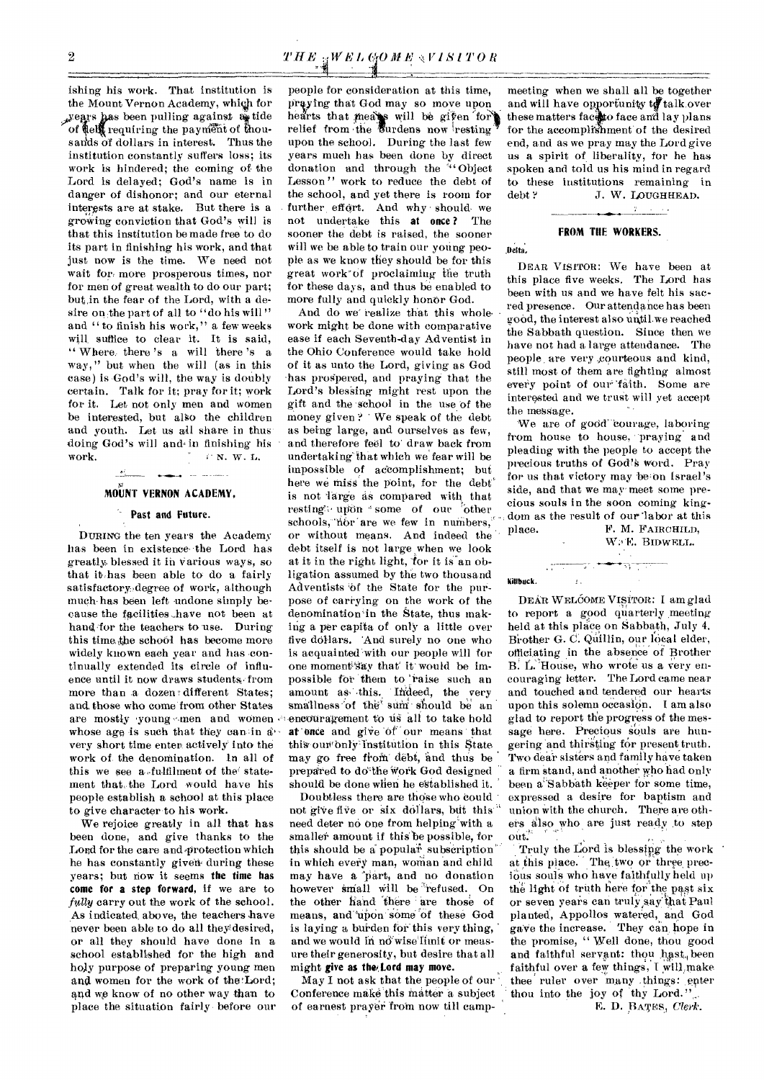ishing his work. That institution is the Mount Vernon Academy, which for , years has been pulling against  $a_{\mathbf{i}}$  tide of telf requiring the payment of thousands of dollars in interest. Thus the institution constantly suffers loss; its work is hindered; the coming of the Lord is delayed; God's name is in danger of dishonor; and our eternal interests are at stake. But there is a groWing conviction that God's will is that this institution be made free to do its part in finishing his work, and that just now is the time. We need not wait for: more prosperous times, nor for men of great wealth to do our part; but in the fear of the Lord, with a desire on the part of all to "do his will" and " to finish his work," a few weeks will, suffice to clear it. It is said, " Where, there 's a will there 's a way," but when the will (as in this case) is God's will, the way is doubly certain. Talk for it; pray for it; work for it. Let not only men and women be interested, but also the children and youth. Let us all share in thus. doing God's will and in finishing his work. N. W. L.

## **MOUNT VERNON ACADEMY,**

المداري

#### **Past and Future.**

DURING the ten years the Academy has been in existence the Lord has greatly, blessed it in Various ways, so that ithas been able to do a fairly satisfactory degree of work, although much has been left undone simply because the facilities.have not been at hand-for the teachers to use. During this time, the school has become more widely known each year and has continually extended its circle of influence until it now draws students, from more than a dozen different States; and, those who come from other States are mostly young men and women. whose age is such that they can in a very short time enter actively into the work of the denomination. In all of this we see a fulfilment of the statement that, the Lord would have his people establish a school at this place to give character to his work.

We rejoice greatly in all that has been done, and give thanks to the Lord for the care and protection which he has constantly given during these years; but now it seems **the time has come for a step forward,** if we are to fully carry out the work of the school. As indicated, above, the teachers have never been able to do all theydesired, or all they should have done in a school established for the high and holy purpose of preparing young men and women for the work of the 'Lord; and we know of no other way than to place the situation fairly . before our

people for consideration at this time, praying that God may so move upon, hearts that meass will be given for relief from the *U*urdens now resting upon the school. During the last few years much has been done by direct donation and through the ""Object" Lesson" work to reduce the debt of the school, and yet there is room for further effort. And why should we not undertake this **at once ?** The sooner the debt is raised, the sooner will we be able to train our young people as we know they should be for this great work"Of proclaiming the truth for these days, and thus he enabled to more fully and quickly honor God.

And do we realize that this wholework might be done with comparative ease if each Seventh-day Adventist in the Ohio Conference would take hold of it as unto the Lord, giving as God 'has prospered, and praying that the Lord's blessing might rest upon the gift and the •school in the use of the money given ? ' We speak of the debt as being large, and ourselves as few, and therefore feel to draw back from undertaking.' that which we fear will be impossible of accomplishment; but here we miss' the point, for the debt' is not 'large as compared with that resting upon some of our other schools, nor are we few in numbers, or without means. And indeed the debt itself is not large when we look at it in the right light, "or it is anobligation assumed by the two thousand Adventists 'of the State for the purpose of carrying on the work of the denomination'in the State, thus making a per capita of only a little over five dollars. 'And surely no one who is acquainted 'with our people will for one moment'say that' it would be impossible for them to 'raise such an amount as this. Indeed, the very smallness of the sum should be an encouragement to us all to take hold at once and give of our means that this our only institution in this State may go free from debt, and thus be prepared to do<sup>the</sup> work God designed should be done when he established it.

Doubtless there are those who could not give five or six dollars, but this need deter no One from helping"with a smaller amount if this be possible, for this should be a popular subscription in which every man, woman and child may have a part, and no donation however small will be refused. On the other hand there are those of means, and upon some of these God is laying a burden for' this very thing, and we would in no wise limit or measure their generosity, but desire that all might give as **the/lord may move.** 

May I not ask that the people of our Conference make this matter a subject of earnest prayer froin now till camp-

meeting when we shall all be together meeting when we shall all be together<br>and will have opportunity to talk,over. these matters face to face and lay plans for the accomplishment of the desired end, and as we pray may the Lord give us a spirit of liberality, for he has spoken and told us his mind in regard to these institutions remaining in debt ? J. W. LOUGHHEAD.

#### **FROM THE WORKERS.**

 $r = 1 - 1$ 

#### Delta,

DEAR VISITOR: We have been at this place five weeks. The Lord has been with us and we have felt his sacred presence. Our attendance has been good, the interest also untilwe reached the Sabbath question. Since then we have not had a large attendance. The people are very courteous and kind, still most of them are fighting almost every point of our'falth. Some are interested and we trust will yet accept the message.

We are of good 'courage, laboring from house to house, praying and pleading with the people to accept the precious truths of God's word. Pray for us that victory may be on Israel's side, and that we may' meet some precious souls in the soon coming kingdom as the result of our 'labor at this place. F. M. FAIRCHILD,

جواري كالمناسب والمرادي

 $\mathbf{r}$ 

W. E. BIDWELL.

#### Killbuck.

DEAR WELCOME VISITOR: I am glad to report a good quarterly meeting held at this place on Sabbath, July 4, Brother G. C. Quillin, our local elder, officiating in the absence of Brother B. L. House, who wrote us a very encouraging letter. The Lord came near and touched and tendered our hearts upon this solemn occasion. I am also glad to report the progress of the message here. Precious souls are hungering and thirsting for present truth. Two dear sisters and family have taken a firm stand, and another who had only been a'Sabbath keeper for some time, expressed a desire for baptism and union With the church. There are others also who are just ready to step out.

Truly the Lord is blessing the work at this place. The two or three precious souls who have faithfully held up the light of truth here for the past six or seven years can truly,say that Paul planted, Appollos watered, and God gave the increase. They can, hope in the promise, " Well done, thou good and faithful servant: thou hast, been faithful over a few things, I will make thee ruler over many things: enter thou into the joy of thy Lord."

E. D. PATES, Clerk.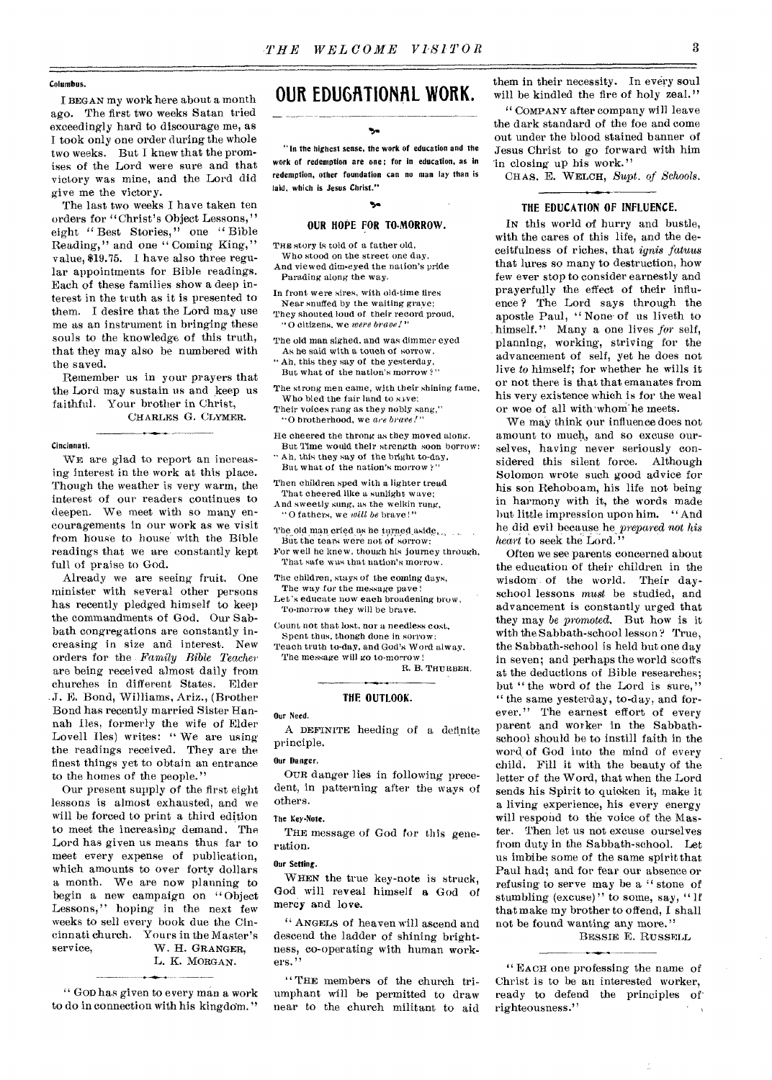#### Columbus.

BEGAN my work here about a month ago. The first two weeks Satan tried exceedingly hard to discourage me, as I took only one order during the whole two weeks. But I knew that the promises of the Lord were sure and that victory was mine, and the Lord did give me the victory.

The last two weeks I have taken ten orders for "Christ's Object Lessons," eight " Best Stories," one " Bible Reading," and one "Coming King," value, \$19.75. I have also three regular appointments for Bible readings. Each of these families show a deep interest in the truth as it is presented to them. I desire that the Lord may use me as an instrument in bringing these souls to the knowledge of this truth, that they may also be numbered with the saved.

Remember us in your prayers that the Lord may sustain us and keep us faithful. Your brother in Christ, CHARLES G. CLYMER.

#### Cincinnati.

WE are glad to report an increasing interest in the work at this place. Though the weather is very warm, the interest of our readers continues to deepen. We meet with so many encouragements in our work as we visit from house to house with the Bible readings that we are constantly kept full of praise to God.

Already we are seeing fruit. One minister with several other persons has recently pledged himself to keep the commandments of God. Our Sabbath congregations are constantly increasing in size and interest. New orders for the - *Family Bible Teacher•*  are being received almost daily from churches in different States. Elder J. E. Bond, Williams, Ariz., (Brother Bond has recently married Sister Hannah Iles, formerly the wife of Elder Lovell Iles) writes: "We are using the readings received. They are the finest things yet to obtain an entrance to the homes of the people."

Our present supply of the first eight lessons is almost exhausted, and we will be forced to print a third edition to meet the increasing demand. The Lord has given us means thus far to meet every expense of publication, which amounts to over forty dollars a month. We are now planning to begin a new campaign on " Object Lessons," hoping in the next few weeks to sell every book due the Cincinnati church. Yours in the Master's<br>service, W. H. GRANGER, W. H. GRANGER, L. K. MORGAN.

" GOD has given to every man a work to do in connection with his kingdom. "

# OUR EDUGATIONAL WORK.

"In the highest sense, the work of education and the work of redemption are one; for in education, as in redemption, other foundation can no man lay than is laid, which is Jesus Christ."

### 54 OUR HOPE FOR TO-MORROW.

THE story is told of a father old,

Who stood on the street one day, And viewed dim-eyed the nation's pride Parading along the way.

In front were sires, with old-time fires Near snuffed by the waiting grave; They shouted loud of their record proud, "O citizens, we *were brace!"* 

The old man sighed, and was dimmer eyed As he said with a touch of sorrow.

Ah, this they say of the yesterday, But what of the nation's morrow?

The strong men came, with their shining fame, Who bled the fair land to save:

Their voices rang as they nobly sang," "0 brotherhood, we *a•e brave!"* 

He cheered the throng as they moved along. But Time would their strength soon borrow:

Ah, this they say of the bright to-day, But what of the nation's morrow ?"

Then children sped with a lighter tread

That cheered like a sunlight wave; And sweetly sung, as the welkin rung, "O fathers, we *will be* brave!"

The old man cried as he turned aside,

But the tears were not of sorrow: For well he knew, though his journey through, That safe was that nation's morrow.

The children, stays of the coming days,

The way for the message pave

Let's educate now each broadening brow, To-morrow they will be brave.

Count not that lost, nor a needless cost, Spent thus, thongh done in sorrow:

Teach truth to-day, and God's Word alway. The message will go to-morrow R. B. THURBER.

#### **THE. OUTLOOK.**

Our Need.

A DEFINITE heeding of a definite principle.

#### Our Danger.

OUR danger lies in following precedent, in patterning after the ways of others.

#### The Key•Note.

THE message of God for this generation.

#### Our Setting.

WHEN the true key-note is struck, God will reveal himself a God of mercy and love.

" ANGELS of heaven will ascend and descend the ladder of shining brightness, co-operating with human workers."

" THE members of the church triumphant will be permitted to draw near to the church militant to aid

them in their necessity. In every soul will be kindled the fire of holy zeal."

" COMPANY after company will leave the dark standard of the foe and come out under the blood stained banner of Jesus Christ to go forward with him in closing up his work."

CHAS. E. WELCH, *Supt. of Schools.* 

#### **THE EDUCATION OF INFLUENCE.**

IN this world of hurry and bustle, with the cares of this life, and the deceitfulness of riches, that *ignis fatuus*  that lures so many to destruction, how few ever stop to consider earnestly and prayerfully the effect of their influence ? The Lord says through the apostle Paul, " None of us liveth to himself." Many a one lives *for* self, planning, working, striving for the advancement of self, yet he does not live *to* himself; for whether he wills it or not there is that that emanates from his very existence which is for the weal or woe of all with'whom'he meets.

We may think our influence does not amount to much, and so excuse ourselves, having never seriously considered this silent force. Although Solomon wrote such good advice for his son Rehoboam, his life not being in harmony with it, the words made but little impression upon him. "And he did evil because he *prepared not his heart* to seek the Lord."

Often we see parents concerned about the education of their children in the wisdom of the world. Their dayschool lessons *must* be studied, and advancement is constantly urged that they may *be promoted.* But how is it with the Sabbath-school lesson? True, the Sabbath-school is held but one day in seven; and perhaps the world scoffs at the deductions of Bible researches; but " the word of the Lord is sure," " the same yesterday, to-day, and forever." The earnest effort of every parent and worker in the Sabbathschool should be to instill faith in the word of God into the mind of every child. Fill it with the beauty of the letter of the Word, that when the Lord sends his Spirit to quicken it, make it a living experience, his every energy will respond to the voice of the Master. Then let us not excuse ourselves from duty in the Sabbath-school. Let us imbibe some of the same spirit that Paul had; and for fear our absence or refusing to serve may be a " stone of stumbling (excuse)" to some, say, "If that make my brother to offend, I shall not be found wanting any more."

#### BESSIE E. RUSSELL

Ć.

" EACH one professing the name of Christ is to be an interested worker, ready to defend the principles of righteousness."